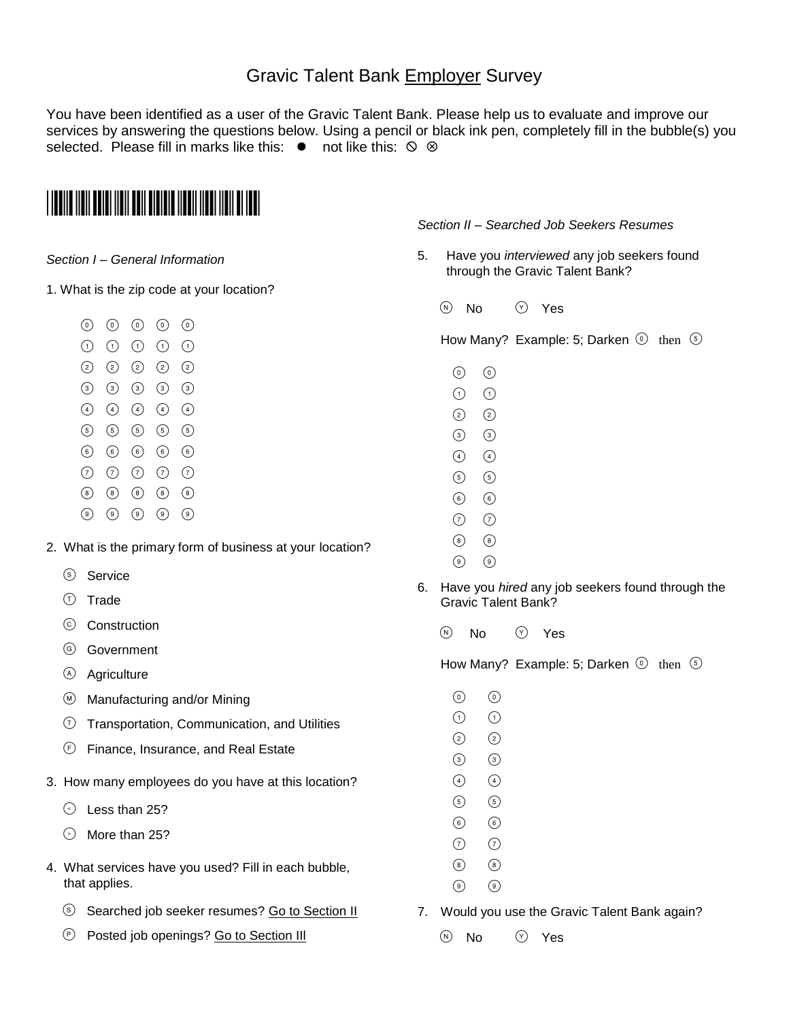# Gravic Talent Bank Employer Survey

You have been identified as a user of the Gravic Talent Bank. Please help us to evaluate and improve our services by answering the questions below. Using a pencil or black ink pen, completely fill in the bubble(s) you selected. Please fill in marks like this:  $\bullet$  not like this:  $\circ$   $\circ$ 

# \*2010!EMPL\*

#### *Section I – General Information*

- 1. What is the zip code at your location?
	- $\begin{matrix} 0 & 0 & 0 & 0 & 0 \end{matrix}$
	- $(1)$   $(1)$   $(1)$   $(1)$   $(1)$
	- $(2)$   $(2)$   $(2)$   $(2)$   $(2)$
	- $(3)$   $(3)$   $(3)$   $(3)$   $(3)$
	- $(4)$   $(4)$   $(4)$   $(4)$   $(4)$
	- $(5)$   $(5)$   $(5)$   $(5)$   $(5)$
	- $(6)$   $(6)$   $(6)$   $(6)$   $(6)$
	-
	- $(7)$   $(7)$   $(7)$   $(7)$   $(7)$
	- $(8)$   $(8)$   $(8)$   $(8)$   $(8)$
	- $\begin{pmatrix} 0 \\ 0 \end{pmatrix} \quad \begin{pmatrix} 0 \\ 0 \end{pmatrix} \quad \begin{pmatrix} 0 \\ 0 \end{pmatrix} \quad \begin{pmatrix} 0 \\ 0 \end{pmatrix}$

## 2. What is the primary form of business at your location?

- Service
- $(T)$  Trade
- Construction
- <sup>(G)</sup> Government
- <sup>A</sup> Agriculture
- $\textcircled{M}$  Manufacturing and/or Mining
- $\circled{1}$  Transportation, Communication, and Utilities
- Finance, Insurance, and Real Estate
- 3. How many employees do you have at this location?
	- $\odot$  Less than 25?
	- $\odot$  More than 25?
- 4. What services have you used? Fill in each bubble, that applies.
	- Searched job seeker resumes? Go to Section II
	- **P** Posted job openings? Go to Section III

### *Section II – Searched Job Seekers Resumes*

- 5. Have you *interviewed* any job seekers found through the Gravic Talent Bank?
	- $\circledR$  No  $\circledR$  Yes

How Many? Example: 5; Darken  $\odot$  then  $\odot$ 

- $\odot$   $\odot$
- $(1)$
- $(2) (2)$
- $(3)$   $(3)$
- $\begin{pmatrix} 4 \end{pmatrix}$   $\begin{pmatrix} 4 \end{pmatrix}$
- $(5)$   $(5)$
- $(6)$   $(6)$
- $(7)$   $(7)$
- $(8)$   $(8)$
- $(\circ)$   $(\circ)$
- 6. Have you *hired* any job seekers found through the Gravic Talent Bank?
	- $(N)$  No  $(Y)$  Yes

How Many? Example: 5; Darken  $\odot$  then  $\odot$ 

- $\circ$   $\circ$
- $\Omega$   $\Omega$
- $(2)$   $(2)$
- $\circled{3}$   $\circled{3}$
- $\begin{pmatrix} 4 \end{pmatrix}$   $\begin{pmatrix} 4 \end{pmatrix}$
- $(5)$   $(5)$
- $\circ$   $\circ$
- $\odot$   $\odot$ 
	- $\begin{picture}(30,20) \put(0,0){\line(1,0){10}} \put(15,0){\line(1,0){10}} \put(15,0){\line(1,0){10}} \put(15,0){\line(1,0){10}} \put(15,0){\line(1,0){10}} \put(15,0){\line(1,0){10}} \put(15,0){\line(1,0){10}} \put(15,0){\line(1,0){10}} \put(15,0){\line(1,0){10}} \put(15,0){\line(1,0){10}} \put(15,0){\line(1,0){10}} \put(15,0){\line(1$
	- $(\circ)$   $(\circ)$
- 7. Would you use the Gravic Talent Bank again?
	- $\circledR$  No  $\circledR$  Yes